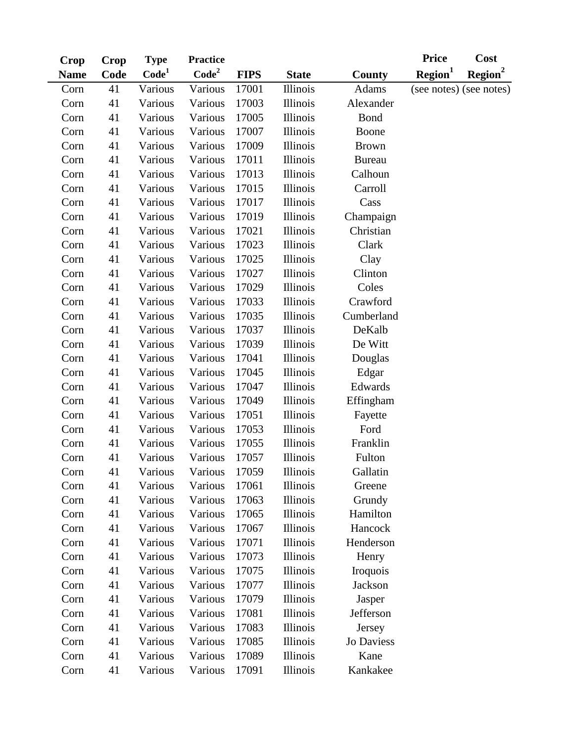|             |      | <b>Type</b>       | <b>Practice</b> |             |                 |                 | <b>Price</b>        | Cost                    |
|-------------|------|-------------------|-----------------|-------------|-----------------|-----------------|---------------------|-------------------------|
| <b>Name</b> | Code | Code <sup>1</sup> | $\text{Code}^2$ | <b>FIPS</b> | <b>State</b>    | County          | Region <sup>1</sup> | Region <sup>2</sup>     |
| Corn        | 41   | Various           | Various         | 17001       | <b>Illinois</b> | <b>Adams</b>    |                     | (see notes) (see notes) |
| Corn        | 41   | Various           | Various         | 17003       | Illinois        | Alexander       |                     |                         |
| Corn        | 41   | Various           | Various         | 17005       | <b>Illinois</b> | <b>Bond</b>     |                     |                         |
| Corn        | 41   | Various           | Various         | 17007       | Illinois        | Boone           |                     |                         |
| Corn        | 41   | Various           | Various         | 17009       | Illinois        | <b>Brown</b>    |                     |                         |
| Corn        | 41   | Various           | Various         | 17011       | <b>Illinois</b> | <b>Bureau</b>   |                     |                         |
| Corn        | 41   | Various           | Various         | 17013       | <b>Illinois</b> | Calhoun         |                     |                         |
| Corn        | 41   | Various           | Various         | 17015       | Illinois        | Carroll         |                     |                         |
| Corn        | 41   | Various           | Various         | 17017       | <b>Illinois</b> | Cass            |                     |                         |
| Corn        | 41   | Various           | Various         | 17019       | <b>Illinois</b> | Champaign       |                     |                         |
| Corn        | 41   | Various           | Various         | 17021       | Illinois        | Christian       |                     |                         |
| Corn        | 41   | Various           | Various         | 17023       | Illinois        | Clark           |                     |                         |
| Corn        | 41   | Various           | Various         | 17025       | <b>Illinois</b> | Clay            |                     |                         |
| Corn        | 41   | Various           | Various         | 17027       | <b>Illinois</b> | Clinton         |                     |                         |
| Corn        | 41   | Various           | Various         | 17029       | Illinois        | Coles           |                     |                         |
| Corn        | 41   | Various           | Various         | 17033       | Illinois        | Crawford        |                     |                         |
| Corn        | 41   | Various           | Various         | 17035       | <b>Illinois</b> | Cumberland      |                     |                         |
| Corn        | 41   | Various           | Various         | 17037       | <b>Illinois</b> | DeKalb          |                     |                         |
| Corn        | 41   | Various           | Various         | 17039       | <b>Illinois</b> | De Witt         |                     |                         |
| Corn        | 41   | Various           | Various         | 17041       | <b>Illinois</b> | Douglas         |                     |                         |
| Corn        | 41   | Various           | Various         | 17045       | <b>Illinois</b> |                 |                     |                         |
| Corn        | 41   | Various           | Various         | 17047       | <b>Illinois</b> | Edwards         |                     |                         |
| Corn        | 41   | Various           | Various         | 17049       | Illinois        | Effingham       |                     |                         |
| Corn        | 41   | Various           | Various         | 17051       | <b>Illinois</b> | Fayette         |                     |                         |
| Corn        | 41   | Various           | Various         | 17053       | <b>Illinois</b> | Ford            |                     |                         |
| Corn        | 41   | Various           | Various         | 17055       | Illinois        | Franklin        |                     |                         |
| Corn        | 41   | Various           | Various         | 17057       | Illinois        | Fulton          |                     |                         |
| Corn        | 41   | Various           | Various         | 17059       | <b>Illinois</b> | Gallatin        |                     |                         |
| Corn        | 41   | Various           | Various         | 17061       | <b>Illinois</b> | Greene          |                     |                         |
| Corn        | 41   | Various           | Various         | 17063       | <b>Illinois</b> | Grundy          |                     |                         |
| Corn        | 41   | Various           | Various         | 17065       | <b>Illinois</b> | Hamilton        |                     |                         |
| Corn        | 41   | Various           | Various         | 17067       | <b>Illinois</b> | Hancock         |                     |                         |
| Corn        | 41   | Various           | Various         | 17071       | Illinois        | Henderson       |                     |                         |
| Corn        | 41   | Various           | Various         | 17073       | <b>Illinois</b> | Henry           |                     |                         |
| Corn        | 41   | Various           | Various         | 17075       | <b>Illinois</b> | <b>Iroquois</b> |                     |                         |
| Corn        | 41   | Various           | Various         | 17077       | <b>Illinois</b> | Jackson         |                     |                         |
| Corn        | 41   | Various           | Various         | 17079       | <b>Illinois</b> |                 |                     |                         |
| Corn        | 41   | Various           | Various         | 17081       | <b>Illinois</b> | Jefferson       |                     |                         |
| Corn        | 41   | Various           | Various         | 17083       | <b>Illinois</b> | Jersey          |                     |                         |
| Corn        | 41   | Various           | Various         | 17085       | Illinois        | Jo Daviess      |                     |                         |
| Corn        | 41   | Various           | Various         | 17089       | <b>Illinois</b> | Kane            |                     |                         |
| Corn        | 41   | Various           | Various         | 17091       | <b>Illinois</b> | Kankakee        |                     |                         |
|             | Crop | <b>Crop</b>       |                 |             |                 |                 | Edgar<br>Jasper     |                         |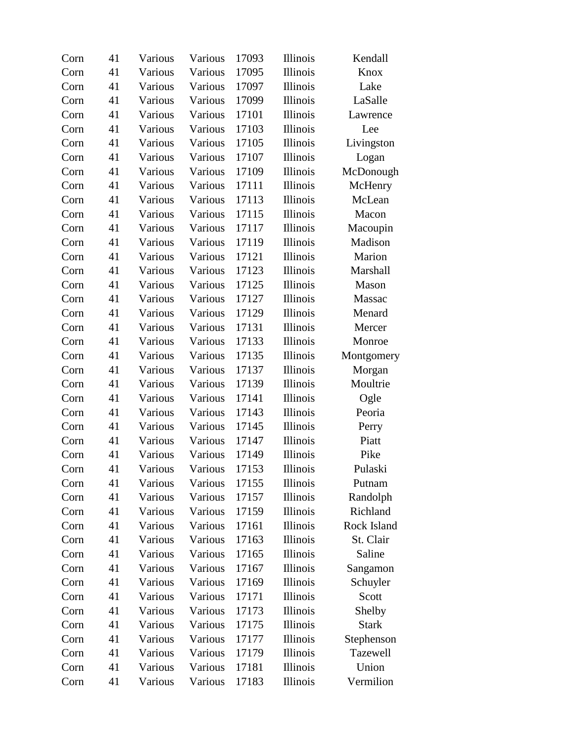| Corn | 41 | Various | Various | 17093 | <b>Illinois</b> | Kendall      |
|------|----|---------|---------|-------|-----------------|--------------|
| Corn | 41 | Various | Various | 17095 | Illinois        | Knox         |
| Corn | 41 | Various | Various | 17097 | <b>Illinois</b> | Lake         |
| Corn | 41 | Various | Various | 17099 | <b>Illinois</b> | LaSalle      |
| Corn | 41 | Various | Various | 17101 | <b>Illinois</b> | Lawrence     |
| Corn | 41 | Various | Various | 17103 | <b>Illinois</b> | Lee          |
| Corn | 41 | Various | Various | 17105 | <b>Illinois</b> | Livingston   |
| Corn | 41 | Various | Various | 17107 | <b>Illinois</b> | Logan        |
| Corn | 41 | Various | Various | 17109 | <b>Illinois</b> | McDonough    |
| Corn | 41 | Various | Various | 17111 | Illinois        | McHenry      |
| Corn | 41 | Various | Various | 17113 | Illinois        | McLean       |
| Corn | 41 | Various | Various | 17115 | <b>Illinois</b> | Macon        |
| Corn | 41 | Various | Various | 17117 | <b>Illinois</b> | Macoupin     |
| Corn | 41 | Various | Various | 17119 | Illinois        | Madison      |
| Corn | 41 | Various | Various | 17121 | <b>Illinois</b> | Marion       |
| Corn | 41 | Various | Various | 17123 | <b>Illinois</b> | Marshall     |
| Corn | 41 | Various | Various | 17125 | <b>Illinois</b> | Mason        |
| Corn | 41 | Various | Various | 17127 | <b>Illinois</b> | Massac       |
| Corn | 41 | Various | Various | 17129 | <b>Illinois</b> | Menard       |
| Corn | 41 | Various | Various | 17131 | <b>Illinois</b> | Mercer       |
| Corn | 41 | Various | Various | 17133 | Illinois        | Monroe       |
| Corn | 41 | Various | Various | 17135 | Illinois        | Montgomery   |
| Corn | 41 | Various | Various | 17137 | Illinois        | Morgan       |
| Corn | 41 | Various | Various | 17139 | <b>Illinois</b> | Moultrie     |
| Corn | 41 | Various | Various | 17141 | Illinois        | Ogle         |
| Corn | 41 | Various | Various | 17143 | Illinois        | Peoria       |
| Corn | 41 | Various | Various | 17145 | <b>Illinois</b> | Perry        |
| Corn | 41 | Various | Various | 17147 | <b>Illinois</b> | Piatt        |
| Corn | 41 | Various | Various | 17149 | Illinois        | Pike         |
| Corn | 41 | Various | Various | 17153 | Illinois        | Pulaski      |
| Corn | 41 | Various | Various | 17155 | <b>Illinois</b> | Putnam       |
| Corn | 41 | Various | Various | 17157 | Illinois        | Randolph     |
| Corn | 41 | Various | Various | 17159 | Illinois        | Richland     |
| Corn | 41 | Various | Various | 17161 | <b>Illinois</b> | Rock Island  |
| Corn | 41 | Various | Various | 17163 | <b>Illinois</b> | St. Clair    |
| Corn | 41 | Various | Various | 17165 | <b>Illinois</b> | Saline       |
| Corn | 41 | Various | Various | 17167 | <b>Illinois</b> | Sangamon     |
| Corn | 41 | Various | Various | 17169 | <b>Illinois</b> | Schuyler     |
| Corn | 41 | Various | Various | 17171 | <b>Illinois</b> | Scott        |
| Corn | 41 | Various | Various | 17173 | <b>Illinois</b> | Shelby       |
| Corn | 41 | Various | Various | 17175 | <b>Illinois</b> | <b>Stark</b> |
| Corn | 41 | Various | Various | 17177 | <b>Illinois</b> | Stephenson   |
| Corn | 41 | Various | Various | 17179 | <b>Illinois</b> | Tazewell     |
| Corn | 41 | Various | Various | 17181 | <b>Illinois</b> | Union        |
| Corn | 41 | Various | Various | 17183 | Illinois        | Vermilion    |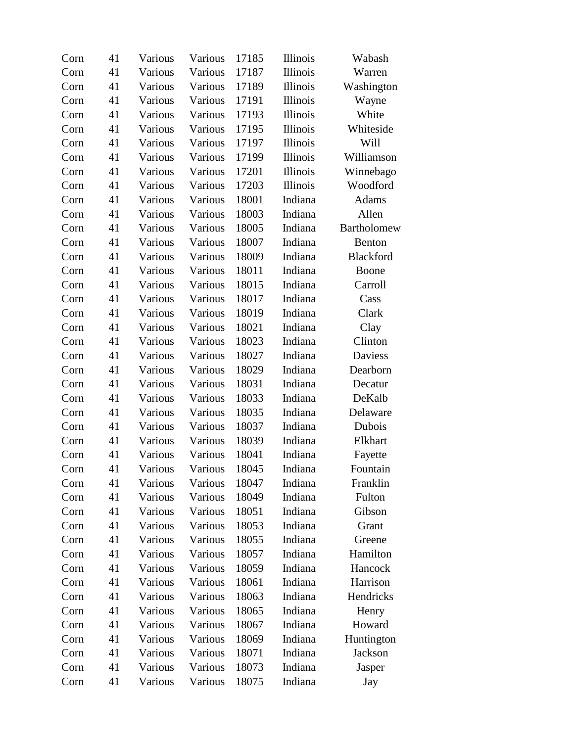| Corn | 41 | Various | Various | 17185 | <b>Illinois</b> | Wabash      |
|------|----|---------|---------|-------|-----------------|-------------|
| Corn | 41 | Various | Various | 17187 | Illinois        | Warren      |
| Corn | 41 | Various | Various | 17189 | <b>Illinois</b> | Washington  |
| Corn | 41 | Various | Various | 17191 | <b>Illinois</b> | Wayne       |
| Corn | 41 | Various | Various | 17193 | <b>Illinois</b> | White       |
| Corn | 41 | Various | Various | 17195 | Illinois        | Whiteside   |
| Corn | 41 | Various | Various | 17197 | <b>Illinois</b> | Will        |
| Corn | 41 | Various | Various | 17199 | <b>Illinois</b> | Williamson  |
| Corn | 41 | Various | Various | 17201 | <b>Illinois</b> | Winnebago   |
| Corn | 41 | Various | Various | 17203 | Illinois        | Woodford    |
| Corn | 41 | Various | Various | 18001 | Indiana         | Adams       |
| Corn | 41 | Various | Various | 18003 | Indiana         | Allen       |
| Corn | 41 | Various | Various | 18005 | Indiana         | Bartholomew |
| Corn | 41 | Various | Various | 18007 | Indiana         | Benton      |
| Corn | 41 | Various | Various | 18009 | Indiana         | Blackford   |
| Corn | 41 | Various | Various | 18011 | Indiana         | Boone       |
| Corn | 41 | Various | Various | 18015 | Indiana         | Carroll     |
| Corn | 41 | Various | Various | 18017 | Indiana         | Cass        |
| Corn | 41 | Various | Various | 18019 | Indiana         | Clark       |
| Corn | 41 | Various | Various | 18021 | Indiana         | Clay        |
| Corn | 41 | Various | Various | 18023 | Indiana         | Clinton     |
| Corn | 41 | Various | Various | 18027 | Indiana         | Daviess     |
| Corn | 41 | Various | Various | 18029 | Indiana         | Dearborn    |
| Corn | 41 | Various | Various | 18031 | Indiana         | Decatur     |
| Corn | 41 | Various | Various | 18033 | Indiana         | DeKalb      |
| Corn | 41 | Various | Various | 18035 | Indiana         | Delaware    |
| Corn | 41 | Various | Various | 18037 | Indiana         | Dubois      |
| Corn | 41 | Various | Various | 18039 | Indiana         | Elkhart     |
| Corn | 41 | Various | Various | 18041 | Indiana         | Fayette     |
| Corn | 41 | Various | Various | 18045 | Indiana         | Fountain    |
| Corn | 41 | Various | Various | 18047 | Indiana         | Franklin    |
| Corn | 41 | Various | Various | 18049 | Indiana         | Fulton      |
| Corn | 41 | Various | Various | 18051 | Indiana         | Gibson      |
| Corn | 41 | Various | Various | 18053 | Indiana         | Grant       |
| Corn | 41 | Various | Various | 18055 | Indiana         | Greene      |
| Corn | 41 | Various | Various | 18057 | Indiana         | Hamilton    |
| Corn | 41 | Various | Various | 18059 | Indiana         | Hancock     |
| Corn | 41 | Various | Various | 18061 | Indiana         | Harrison    |
| Corn | 41 | Various | Various | 18063 | Indiana         | Hendricks   |
| Corn | 41 | Various | Various | 18065 | Indiana         | Henry       |
| Corn | 41 | Various | Various | 18067 | Indiana         | Howard      |
| Corn | 41 | Various | Various | 18069 | Indiana         | Huntington  |
| Corn | 41 | Various | Various | 18071 | Indiana         | Jackson     |
| Corn | 41 | Various | Various | 18073 | Indiana         | Jasper      |
| Corn | 41 | Various | Various | 18075 | Indiana         | Jay         |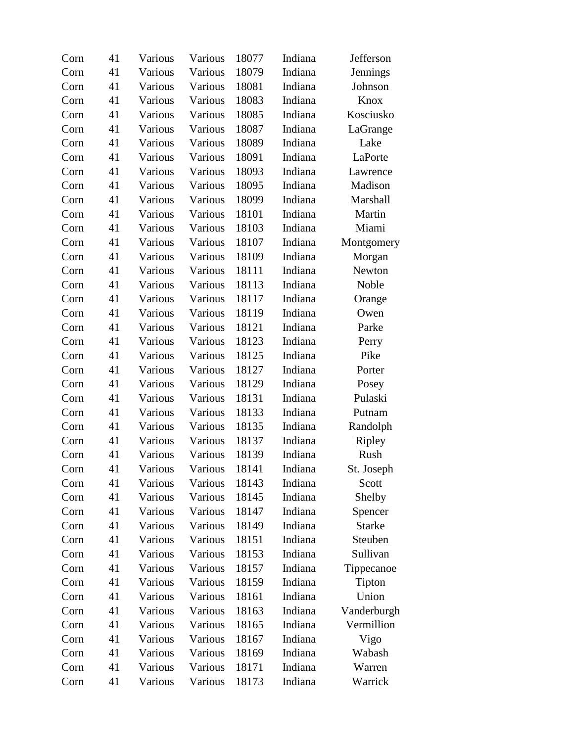| Corn | 41 | Various | Various | 18077 | Indiana | Jefferson       |
|------|----|---------|---------|-------|---------|-----------------|
| Corn | 41 | Various | Various | 18079 | Indiana | <b>Jennings</b> |
| Corn | 41 | Various | Various | 18081 | Indiana | Johnson         |
| Corn | 41 | Various | Various | 18083 | Indiana | Knox            |
| Corn | 41 | Various | Various | 18085 | Indiana | Kosciusko       |
| Corn | 41 | Various | Various | 18087 | Indiana | LaGrange        |
| Corn | 41 | Various | Various | 18089 | Indiana | Lake            |
| Corn | 41 | Various | Various | 18091 | Indiana | LaPorte         |
| Corn | 41 | Various | Various | 18093 | Indiana | Lawrence        |
| Corn | 41 | Various | Various | 18095 | Indiana | Madison         |
| Corn | 41 | Various | Various | 18099 | Indiana | Marshall        |
| Corn | 41 | Various | Various | 18101 | Indiana | Martin          |
| Corn | 41 | Various | Various | 18103 | Indiana | Miami           |
| Corn | 41 | Various | Various | 18107 | Indiana | Montgomery      |
| Corn | 41 | Various | Various | 18109 | Indiana | Morgan          |
| Corn | 41 | Various | Various | 18111 | Indiana | Newton          |
| Corn | 41 | Various | Various | 18113 | Indiana | Noble           |
| Corn | 41 | Various | Various | 18117 | Indiana | Orange          |
| Corn | 41 | Various | Various | 18119 | Indiana | Owen            |
| Corn | 41 | Various | Various | 18121 | Indiana | Parke           |
| Corn | 41 | Various | Various | 18123 | Indiana | Perry           |
| Corn | 41 | Various | Various | 18125 | Indiana | Pike            |
| Corn | 41 | Various | Various | 18127 | Indiana | Porter          |
| Corn | 41 | Various | Various | 18129 | Indiana | Posey           |
| Corn | 41 | Various | Various | 18131 | Indiana | Pulaski         |
| Corn | 41 | Various | Various | 18133 | Indiana | Putnam          |
| Corn | 41 | Various | Various | 18135 | Indiana | Randolph        |
| Corn | 41 | Various | Various | 18137 | Indiana | Ripley          |
| Corn | 41 | Various | Various | 18139 | Indiana | Rush            |
| Corn | 41 | Various | Various | 18141 | Indiana | St. Joseph      |
| Corn | 41 | Various | Various | 18143 | Indiana | Scott           |
| Corn | 41 | Various | Various | 18145 | Indiana | Shelby          |
| Corn | 41 | Various | Various | 18147 | Indiana | Spencer         |
| Corn | 41 | Various | Various | 18149 | Indiana | <b>Starke</b>   |
| Corn | 41 | Various | Various | 18151 | Indiana | Steuben         |
| Corn | 41 | Various | Various | 18153 | Indiana | Sullivan        |
| Corn | 41 | Various | Various | 18157 | Indiana | Tippecanoe      |
| Corn | 41 | Various | Various | 18159 | Indiana | Tipton          |
| Corn | 41 | Various | Various | 18161 | Indiana | Union           |
| Corn | 41 | Various | Various | 18163 | Indiana | Vanderburgh     |
| Corn | 41 | Various | Various | 18165 | Indiana | Vermillion      |
| Corn | 41 | Various | Various | 18167 | Indiana | Vigo            |
| Corn | 41 | Various | Various | 18169 | Indiana | Wabash          |
| Corn | 41 | Various | Various | 18171 | Indiana | Warren          |
| Corn | 41 | Various | Various | 18173 | Indiana | Warrick         |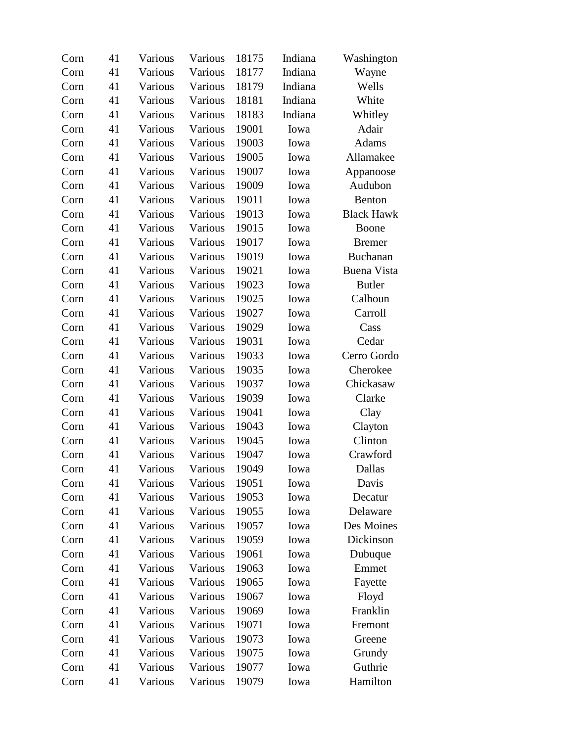| Corn | 41 | Various | Various | 18175 | Indiana | Washington         |
|------|----|---------|---------|-------|---------|--------------------|
| Corn | 41 | Various | Various | 18177 | Indiana | Wayne              |
| Corn | 41 | Various | Various | 18179 | Indiana | Wells              |
| Corn | 41 | Various | Various | 18181 | Indiana | White              |
| Corn | 41 | Various | Various | 18183 | Indiana | Whitley            |
| Corn | 41 | Various | Various | 19001 | Iowa    | Adair              |
| Corn | 41 | Various | Various | 19003 | Iowa    | <b>Adams</b>       |
| Corn | 41 | Various | Various | 19005 | Iowa    | Allamakee          |
| Corn | 41 | Various | Various | 19007 | Iowa    | Appanoose          |
| Corn | 41 | Various | Various | 19009 | Iowa    | Audubon            |
| Corn | 41 | Various | Various | 19011 | Iowa    | <b>Benton</b>      |
| Corn | 41 | Various | Various | 19013 | Iowa    | <b>Black Hawk</b>  |
| Corn | 41 | Various | Various | 19015 | Iowa    | Boone              |
| Corn | 41 | Various | Various | 19017 | Iowa    | <b>Bremer</b>      |
| Corn | 41 | Various | Various | 19019 | Iowa    | Buchanan           |
| Corn | 41 | Various | Various | 19021 | Iowa    | <b>Buena Vista</b> |
| Corn | 41 | Various | Various | 19023 | Iowa    | <b>Butler</b>      |
| Corn | 41 | Various | Various | 19025 | Iowa    | Calhoun            |
| Corn | 41 | Various | Various | 19027 | Iowa    | Carroll            |
| Corn | 41 | Various | Various | 19029 | Iowa    | Cass               |
| Corn | 41 | Various | Various | 19031 | Iowa    | Cedar              |
| Corn | 41 | Various | Various | 19033 | Iowa    | Cerro Gordo        |
| Corn | 41 | Various | Various | 19035 | Iowa    | Cherokee           |
| Corn | 41 | Various | Various | 19037 | Iowa    | Chickasaw          |
| Corn | 41 | Various | Various | 19039 | Iowa    | Clarke             |
| Corn | 41 | Various | Various | 19041 | Iowa    | Clay               |
| Corn | 41 | Various | Various | 19043 | Iowa    | Clayton            |
| Corn | 41 | Various | Various | 19045 | Iowa    | Clinton            |
| Corn | 41 | Various | Various | 19047 | Iowa    | Crawford           |
| Corn | 41 | Various | Various | 19049 | Iowa    | Dallas             |
| Corn | 41 | Various | Various | 19051 | Iowa    | Davis              |
| Corn | 41 | Various | Various | 19053 | Iowa    | Decatur            |
| Corn | 41 | Various | Various | 19055 | Iowa    | Delaware           |
| Corn | 41 | Various | Various | 19057 | Iowa    | Des Moines         |
| Corn | 41 | Various | Various | 19059 | Iowa    | Dickinson          |
| Corn | 41 | Various | Various | 19061 | Iowa    | Dubuque            |
| Corn | 41 | Various | Various | 19063 | Iowa    | Emmet              |
| Corn | 41 | Various | Various | 19065 | Iowa    | Fayette            |
| Corn | 41 | Various | Various | 19067 | Iowa    | Floyd              |
| Corn | 41 | Various | Various | 19069 | Iowa    | Franklin           |
| Corn | 41 | Various | Various | 19071 | Iowa    | Fremont            |
| Corn | 41 | Various | Various | 19073 | Iowa    | Greene             |
| Corn | 41 | Various | Various | 19075 | Iowa    | Grundy             |
| Corn | 41 | Various | Various | 19077 | Iowa    | Guthrie            |
| Corn | 41 | Various | Various | 19079 | Iowa    | Hamilton           |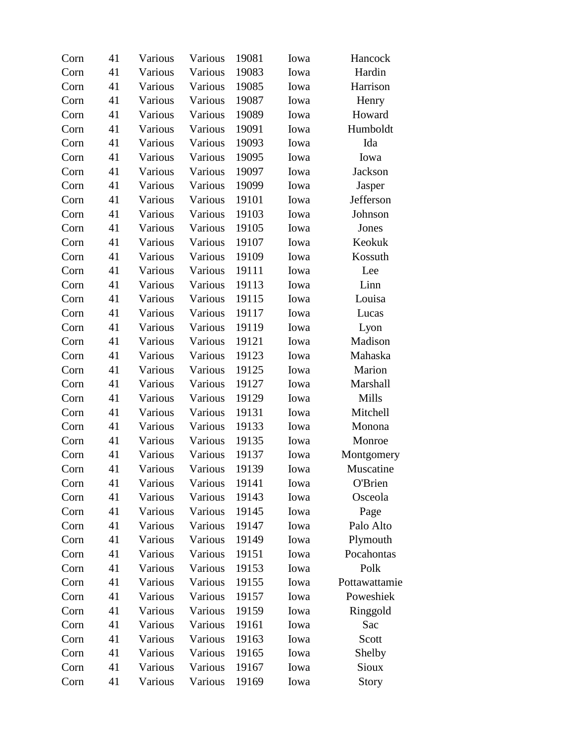| Corn | 41 | Various | Various | 19081 | Iowa | Hancock       |
|------|----|---------|---------|-------|------|---------------|
| Corn | 41 | Various | Various | 19083 | Iowa | Hardin        |
| Corn | 41 | Various | Various | 19085 | Iowa | Harrison      |
| Corn | 41 | Various | Various | 19087 | Iowa | Henry         |
| Corn | 41 | Various | Various | 19089 | Iowa | Howard        |
| Corn | 41 | Various | Various | 19091 | Iowa | Humboldt      |
| Corn | 41 | Various | Various | 19093 | Iowa | Ida           |
| Corn | 41 | Various | Various | 19095 | Iowa | Iowa          |
| Corn | 41 | Various | Various | 19097 | Iowa | Jackson       |
| Corn | 41 | Various | Various | 19099 | Iowa | Jasper        |
| Corn | 41 | Various | Various | 19101 | Iowa | Jefferson     |
| Corn | 41 | Various | Various | 19103 | Iowa | Johnson       |
| Corn | 41 | Various | Various | 19105 | Iowa | Jones         |
| Corn | 41 | Various | Various | 19107 | Iowa | Keokuk        |
| Corn | 41 | Various | Various | 19109 | Iowa | Kossuth       |
| Corn | 41 | Various | Various | 19111 | Iowa | Lee           |
| Corn | 41 | Various | Various | 19113 | Iowa | Linn          |
| Corn | 41 | Various | Various | 19115 | Iowa | Louisa        |
| Corn | 41 | Various | Various | 19117 | Iowa | Lucas         |
| Corn | 41 | Various | Various | 19119 | Iowa | Lyon          |
| Corn | 41 | Various | Various | 19121 | Iowa | Madison       |
| Corn | 41 | Various | Various | 19123 | Iowa | Mahaska       |
| Corn | 41 | Various | Various | 19125 | Iowa | Marion        |
| Corn | 41 | Various | Various | 19127 | Iowa | Marshall      |
| Corn | 41 | Various | Various | 19129 | Iowa | Mills         |
| Corn | 41 | Various | Various | 19131 | Iowa | Mitchell      |
| Corn | 41 | Various | Various | 19133 | Iowa | Monona        |
| Corn | 41 | Various | Various | 19135 | Iowa | Monroe        |
| Corn | 41 | Various | Various | 19137 | Iowa | Montgomery    |
| Corn | 41 | Various | Various | 19139 | Iowa | Muscatine     |
| Corn | 41 | Various | Various | 19141 | Iowa | O'Brien       |
| Corn | 41 | Various | Various | 19143 | Iowa | Osceola       |
| Corn | 41 | Various | Various | 19145 | Iowa | Page          |
| Corn | 41 | Various | Various | 19147 | Iowa | Palo Alto     |
| Corn | 41 | Various | Various | 19149 | Iowa | Plymouth      |
| Corn | 41 | Various | Various | 19151 | Iowa | Pocahontas    |
| Corn | 41 | Various | Various | 19153 | Iowa | Polk          |
| Corn | 41 | Various | Various | 19155 | Iowa | Pottawattamie |
| Corn | 41 | Various | Various | 19157 | Iowa | Poweshiek     |
| Corn | 41 | Various | Various | 19159 | Iowa | Ringgold      |
| Corn | 41 | Various | Various | 19161 | Iowa | Sac           |
| Corn | 41 | Various | Various | 19163 | Iowa | Scott         |
| Corn | 41 | Various | Various | 19165 | Iowa | Shelby        |
| Corn | 41 | Various | Various | 19167 | Iowa | Sioux         |
| Corn | 41 | Various | Various | 19169 | Iowa | <b>Story</b>  |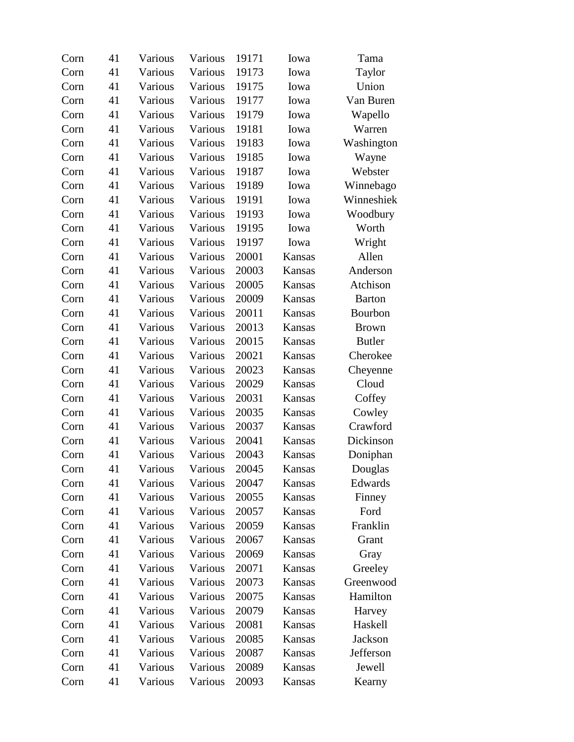| Corn | 41 | Various | Various | 19171 | Iowa   | Tama          |
|------|----|---------|---------|-------|--------|---------------|
| Corn | 41 | Various | Various | 19173 | Iowa   | Taylor        |
| Corn | 41 | Various | Various | 19175 | Iowa   | Union         |
| Corn | 41 | Various | Various | 19177 | Iowa   | Van Buren     |
| Corn | 41 | Various | Various | 19179 | Iowa   | Wapello       |
| Corn | 41 | Various | Various | 19181 | Iowa   | Warren        |
| Corn | 41 | Various | Various | 19183 | Iowa   | Washington    |
| Corn | 41 | Various | Various | 19185 | Iowa   | Wayne         |
| Corn | 41 | Various | Various | 19187 | Iowa   | Webster       |
| Corn | 41 | Various | Various | 19189 | Iowa   | Winnebago     |
| Corn | 41 | Various | Various | 19191 | Iowa   | Winneshiek    |
| Corn | 41 | Various | Various | 19193 | Iowa   | Woodbury      |
| Corn | 41 | Various | Various | 19195 | Iowa   | Worth         |
| Corn | 41 | Various | Various | 19197 | Iowa   | Wright        |
| Corn | 41 | Various | Various | 20001 | Kansas | Allen         |
| Corn | 41 | Various | Various | 20003 | Kansas | Anderson      |
| Corn | 41 | Various | Various | 20005 | Kansas | Atchison      |
| Corn | 41 | Various | Various | 20009 | Kansas | <b>Barton</b> |
| Corn | 41 | Various | Various | 20011 | Kansas | Bourbon       |
| Corn | 41 | Various | Various | 20013 | Kansas | <b>Brown</b>  |
| Corn | 41 | Various | Various | 20015 | Kansas | <b>Butler</b> |
| Corn | 41 | Various | Various | 20021 | Kansas | Cherokee      |
| Corn | 41 | Various | Various | 20023 | Kansas | Cheyenne      |
| Corn | 41 | Various | Various | 20029 | Kansas | Cloud         |
| Corn | 41 | Various | Various | 20031 | Kansas | Coffey        |
| Corn | 41 | Various | Various | 20035 | Kansas | Cowley        |
| Corn | 41 | Various | Various | 20037 | Kansas | Crawford      |
| Corn | 41 | Various | Various | 20041 | Kansas | Dickinson     |
| Corn | 41 | Various | Various | 20043 | Kansas | Doniphan      |
| Corn | 41 | Various | Various | 20045 | Kansas | Douglas       |
| Corn | 41 | Various | Various | 20047 | Kansas | Edwards       |
| Corn | 41 | Various | Various | 20055 | Kansas | Finney        |
| Corn | 41 | Various | Various | 20057 | Kansas | Ford          |
| Corn | 41 | Various | Various | 20059 | Kansas | Franklin      |
| Corn | 41 | Various | Various | 20067 | Kansas | Grant         |
| Corn | 41 | Various | Various | 20069 | Kansas | Gray          |
| Corn | 41 | Various | Various | 20071 | Kansas | Greeley       |
| Corn | 41 | Various | Various | 20073 | Kansas | Greenwood     |
| Corn | 41 | Various | Various | 20075 | Kansas | Hamilton      |
| Corn | 41 | Various | Various | 20079 | Kansas | Harvey        |
| Corn | 41 | Various | Various | 20081 | Kansas | Haskell       |
| Corn | 41 | Various | Various | 20085 | Kansas | Jackson       |
| Corn | 41 | Various | Various | 20087 | Kansas | Jefferson     |
| Corn | 41 | Various | Various | 20089 | Kansas | Jewell        |
| Corn | 41 | Various | Various | 20093 | Kansas | Kearny        |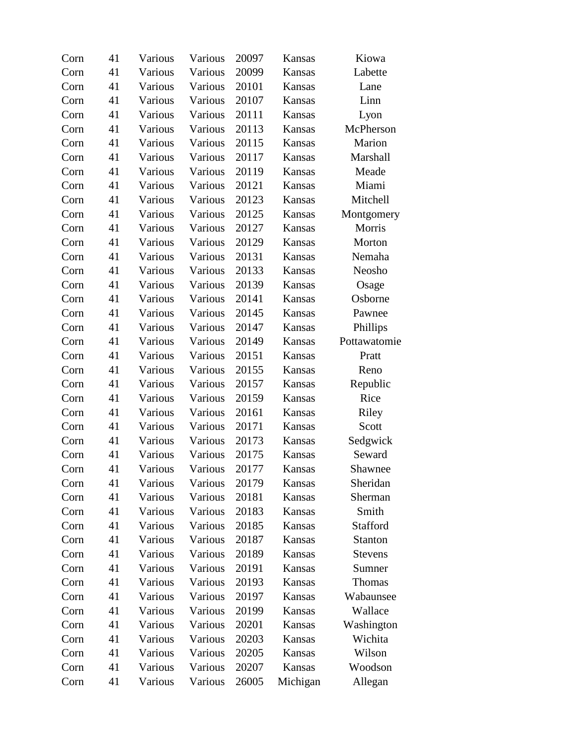| Corn | 41 | Various | Various | 20097 | Kansas   | Kiowa          |
|------|----|---------|---------|-------|----------|----------------|
| Corn | 41 | Various | Various | 20099 | Kansas   | Labette        |
| Corn | 41 | Various | Various | 20101 | Kansas   | Lane           |
| Corn | 41 | Various | Various | 20107 | Kansas   | Linn           |
| Corn | 41 | Various | Various | 20111 | Kansas   | Lyon           |
| Corn | 41 | Various | Various | 20113 | Kansas   | McPherson      |
| Corn | 41 | Various | Various | 20115 | Kansas   | Marion         |
| Corn | 41 | Various | Various | 20117 | Kansas   | Marshall       |
| Corn | 41 | Various | Various | 20119 | Kansas   | Meade          |
| Corn | 41 | Various | Various | 20121 | Kansas   | Miami          |
| Corn | 41 | Various | Various | 20123 | Kansas   | Mitchell       |
| Corn | 41 | Various | Various | 20125 | Kansas   | Montgomery     |
| Corn | 41 | Various | Various | 20127 | Kansas   | Morris         |
| Corn | 41 | Various | Various | 20129 | Kansas   | Morton         |
| Corn | 41 | Various | Various | 20131 | Kansas   | Nemaha         |
| Corn | 41 | Various | Various | 20133 | Kansas   | Neosho         |
| Corn | 41 | Various | Various | 20139 | Kansas   | Osage          |
| Corn | 41 | Various | Various | 20141 | Kansas   | Osborne        |
| Corn | 41 | Various | Various | 20145 | Kansas   | Pawnee         |
| Corn | 41 | Various | Various | 20147 | Kansas   | Phillips       |
| Corn | 41 | Various | Various | 20149 | Kansas   | Pottawatomie   |
| Corn | 41 | Various | Various | 20151 | Kansas   | Pratt          |
| Corn | 41 | Various | Various | 20155 | Kansas   | Reno           |
| Corn | 41 | Various | Various | 20157 | Kansas   | Republic       |
| Corn | 41 | Various | Various | 20159 | Kansas   | Rice           |
| Corn | 41 | Various | Various | 20161 | Kansas   | Riley          |
| Corn | 41 | Various | Various | 20171 | Kansas   | Scott          |
| Corn | 41 | Various | Various | 20173 | Kansas   | Sedgwick       |
| Corn | 41 | Various | Various | 20175 | Kansas   | Seward         |
| Corn | 41 | Various | Various | 20177 | Kansas   | Shawnee        |
| Corn | 41 | Various | Various | 20179 | Kansas   | Sheridan       |
| Corn | 41 | Various | Various | 20181 | Kansas   | Sherman        |
| Corn | 41 | Various | Various | 20183 | Kansas   | Smith          |
| Corn | 41 | Various | Various | 20185 | Kansas   | Stafford       |
| Corn | 41 | Various | Various | 20187 | Kansas   | <b>Stanton</b> |
| Corn | 41 | Various | Various | 20189 | Kansas   | <b>Stevens</b> |
| Corn | 41 | Various | Various | 20191 | Kansas   | Sumner         |
| Corn | 41 | Various | Various | 20193 | Kansas   | Thomas         |
| Corn | 41 | Various | Various | 20197 | Kansas   | Wabaunsee      |
| Corn | 41 | Various | Various | 20199 | Kansas   | Wallace        |
| Corn | 41 | Various | Various | 20201 | Kansas   | Washington     |
| Corn | 41 | Various | Various | 20203 | Kansas   | Wichita        |
| Corn | 41 | Various | Various | 20205 | Kansas   | Wilson         |
| Corn | 41 | Various | Various | 20207 | Kansas   | Woodson        |
| Corn | 41 | Various | Various | 26005 | Michigan | Allegan        |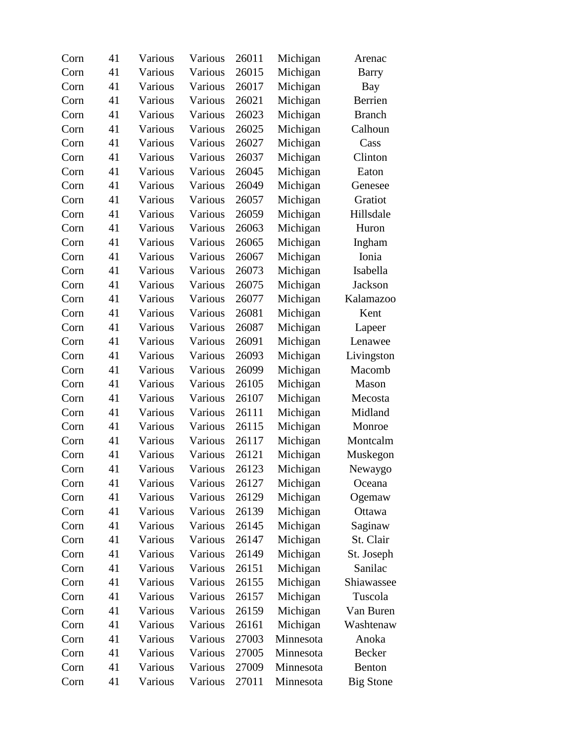| Corn | 41 | Various | Various | 26011 | Michigan  | Arenac           |
|------|----|---------|---------|-------|-----------|------------------|
| Corn | 41 | Various | Various | 26015 | Michigan  | <b>Barry</b>     |
| Corn | 41 | Various | Various | 26017 | Michigan  | Bay              |
| Corn | 41 | Various | Various | 26021 | Michigan  | Berrien          |
| Corn | 41 | Various | Various | 26023 | Michigan  | <b>Branch</b>    |
| Corn | 41 | Various | Various | 26025 | Michigan  | Calhoun          |
| Corn | 41 | Various | Various | 26027 | Michigan  | Cass             |
| Corn | 41 | Various | Various | 26037 | Michigan  | Clinton          |
| Corn | 41 | Various | Various | 26045 | Michigan  | Eaton            |
| Corn | 41 | Various | Various | 26049 | Michigan  | Genesee          |
| Corn | 41 | Various | Various | 26057 | Michigan  | Gratiot          |
| Corn | 41 | Various | Various | 26059 | Michigan  | Hillsdale        |
| Corn | 41 | Various | Various | 26063 | Michigan  | Huron            |
| Corn | 41 | Various | Various | 26065 | Michigan  | Ingham           |
| Corn | 41 | Various | Various | 26067 | Michigan  | Ionia            |
| Corn | 41 | Various | Various | 26073 | Michigan  | Isabella         |
| Corn | 41 | Various | Various | 26075 | Michigan  | Jackson          |
| Corn | 41 | Various | Various | 26077 | Michigan  | Kalamazoo        |
| Corn | 41 | Various | Various | 26081 | Michigan  | Kent             |
| Corn | 41 | Various | Various | 26087 | Michigan  | Lapeer           |
| Corn | 41 | Various | Various | 26091 | Michigan  | Lenawee          |
| Corn | 41 | Various | Various | 26093 | Michigan  | Livingston       |
| Corn | 41 | Various | Various | 26099 | Michigan  | Macomb           |
| Corn | 41 | Various | Various | 26105 | Michigan  | Mason            |
| Corn | 41 | Various | Various | 26107 | Michigan  | Mecosta          |
| Corn | 41 | Various | Various | 26111 | Michigan  | Midland          |
| Corn | 41 | Various | Various | 26115 | Michigan  | Monroe           |
| Corn | 41 | Various | Various | 26117 | Michigan  | Montcalm         |
| Corn | 41 | Various | Various | 26121 | Michigan  | Muskegon         |
| Corn | 41 | Various | Various | 26123 | Michigan  | Newaygo          |
| Corn | 41 | Various | Various | 26127 | Michigan  | Oceana           |
| Corn | 41 | Various | Various | 26129 | Michigan  | Ogemaw           |
| Corn | 41 | Various | Various | 26139 | Michigan  | Ottawa           |
| Corn | 41 | Various | Various | 26145 | Michigan  | Saginaw          |
| Corn | 41 | Various | Various | 26147 | Michigan  | St. Clair        |
| Corn | 41 | Various | Various | 26149 | Michigan  | St. Joseph       |
| Corn | 41 | Various | Various | 26151 | Michigan  | Sanilac          |
| Corn | 41 | Various | Various | 26155 | Michigan  | Shiawassee       |
| Corn | 41 | Various | Various | 26157 | Michigan  | Tuscola          |
| Corn | 41 | Various | Various | 26159 | Michigan  | Van Buren        |
| Corn | 41 | Various | Various | 26161 | Michigan  | Washtenaw        |
| Corn | 41 | Various | Various | 27003 | Minnesota | Anoka            |
| Corn | 41 | Various | Various | 27005 | Minnesota | Becker           |
| Corn | 41 | Various | Various | 27009 | Minnesota | Benton           |
| Corn | 41 | Various | Various | 27011 | Minnesota | <b>Big Stone</b> |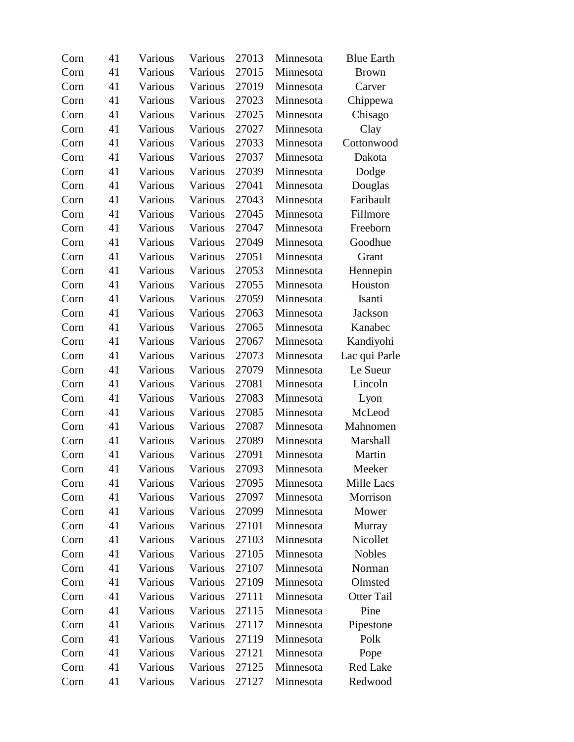| Corn | 41 | Various | Various | 27013 | Minnesota | <b>Blue Earth</b> |
|------|----|---------|---------|-------|-----------|-------------------|
| Corn | 41 | Various | Various | 27015 | Minnesota | <b>Brown</b>      |
| Corn | 41 | Various | Various | 27019 | Minnesota | Carver            |
| Corn | 41 | Various | Various | 27023 | Minnesota | Chippewa          |
| Corn | 41 | Various | Various | 27025 | Minnesota | Chisago           |
| Corn | 41 | Various | Various | 27027 | Minnesota | Clay              |
| Corn | 41 | Various | Various | 27033 | Minnesota | Cottonwood        |
| Corn | 41 | Various | Various | 27037 | Minnesota | Dakota            |
| Corn | 41 | Various | Various | 27039 | Minnesota | Dodge             |
| Corn | 41 | Various | Various | 27041 | Minnesota | Douglas           |
| Corn | 41 | Various | Various | 27043 | Minnesota | Faribault         |
| Corn | 41 | Various | Various | 27045 | Minnesota | Fillmore          |
| Corn | 41 | Various | Various | 27047 | Minnesota | Freeborn          |
| Corn | 41 | Various | Various | 27049 | Minnesota | Goodhue           |
| Corn | 41 | Various | Various | 27051 | Minnesota | Grant             |
| Corn | 41 | Various | Various | 27053 | Minnesota | Hennepin          |
| Corn | 41 | Various | Various | 27055 | Minnesota | Houston           |
| Corn | 41 | Various | Various | 27059 | Minnesota | Isanti            |
| Corn | 41 | Various | Various | 27063 | Minnesota | Jackson           |
| Corn | 41 | Various | Various | 27065 | Minnesota | Kanabec           |
| Corn | 41 | Various | Various | 27067 | Minnesota | Kandiyohi         |
| Corn | 41 | Various | Various | 27073 | Minnesota | Lac qui Parle     |
| Corn | 41 | Various | Various | 27079 | Minnesota | Le Sueur          |
| Corn | 41 | Various | Various | 27081 | Minnesota | Lincoln           |
| Corn | 41 | Various | Various | 27083 | Minnesota | Lyon              |
| Corn | 41 | Various | Various | 27085 | Minnesota | McLeod            |
| Corn | 41 | Various | Various | 27087 | Minnesota | Mahnomen          |
| Corn | 41 | Various | Various | 27089 | Minnesota | Marshall          |
| Corn | 41 | Various | Various | 27091 | Minnesota | Martin            |
| Corn | 41 | Various | Various | 27093 | Minnesota | Meeker            |
| Corn | 41 | Various | Various | 27095 | Minnesota | Mille Lacs        |
| Corn | 41 | Various | Various | 27097 | Minnesota | Morrison          |
| Corn | 41 | Various | Various | 27099 | Minnesota | Mower             |
| Corn | 41 | Various | Various | 27101 | Minnesota | Murray            |
| Corn | 41 | Various | Various | 27103 | Minnesota | Nicollet          |
| Corn | 41 | Various | Various | 27105 | Minnesota | Nobles            |
| Corn | 41 | Various | Various | 27107 | Minnesota | Norman            |
| Corn | 41 | Various | Various | 27109 | Minnesota | Olmsted           |
| Corn | 41 | Various | Various | 27111 | Minnesota | <b>Otter Tail</b> |
| Corn | 41 | Various | Various | 27115 | Minnesota | Pine              |
| Corn | 41 | Various | Various | 27117 | Minnesota | Pipestone         |
| Corn | 41 | Various | Various | 27119 | Minnesota | Polk              |
| Corn | 41 | Various | Various | 27121 | Minnesota | Pope              |
| Corn | 41 | Various | Various | 27125 | Minnesota | <b>Red Lake</b>   |
| Corn | 41 | Various | Various | 27127 | Minnesota | Redwood           |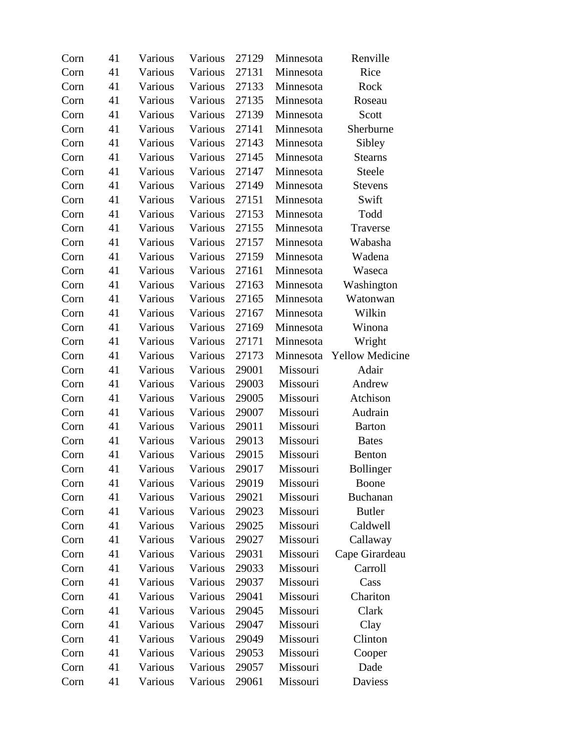| Corn | 41 | Various | Various | 27129 | Minnesota | Renville               |
|------|----|---------|---------|-------|-----------|------------------------|
| Corn | 41 | Various | Various | 27131 | Minnesota | Rice                   |
| Corn | 41 | Various | Various | 27133 | Minnesota | Rock                   |
| Corn | 41 | Various | Various | 27135 | Minnesota | Roseau                 |
| Corn | 41 | Various | Various | 27139 | Minnesota | Scott                  |
| Corn | 41 | Various | Various | 27141 | Minnesota | Sherburne              |
| Corn | 41 | Various | Various | 27143 | Minnesota | Sibley                 |
| Corn | 41 | Various | Various | 27145 | Minnesota | <b>Stearns</b>         |
| Corn | 41 | Various | Various | 27147 | Minnesota | Steele                 |
| Corn | 41 | Various | Various | 27149 | Minnesota | <b>Stevens</b>         |
| Corn | 41 | Various | Various | 27151 | Minnesota | Swift                  |
| Corn | 41 | Various | Various | 27153 | Minnesota | Todd                   |
| Corn | 41 | Various | Various | 27155 | Minnesota | Traverse               |
| Corn | 41 | Various | Various | 27157 | Minnesota | Wabasha                |
| Corn | 41 | Various | Various | 27159 | Minnesota | Wadena                 |
| Corn | 41 | Various | Various | 27161 | Minnesota | Waseca                 |
| Corn | 41 | Various | Various | 27163 | Minnesota | Washington             |
| Corn | 41 | Various | Various | 27165 | Minnesota | Watonwan               |
| Corn | 41 | Various | Various | 27167 | Minnesota | Wilkin                 |
| Corn | 41 | Various | Various | 27169 | Minnesota | Winona                 |
| Corn | 41 | Various | Various | 27171 | Minnesota | Wright                 |
| Corn | 41 | Various | Various | 27173 | Minnesota | <b>Yellow Medicine</b> |
| Corn | 41 | Various | Various | 29001 | Missouri  | Adair                  |
| Corn | 41 | Various | Various | 29003 | Missouri  | Andrew                 |
| Corn | 41 | Various | Various | 29005 | Missouri  | Atchison               |
| Corn | 41 | Various | Various | 29007 | Missouri  | Audrain                |
| Corn | 41 | Various | Various | 29011 | Missouri  | <b>Barton</b>          |
| Corn | 41 | Various | Various | 29013 | Missouri  | <b>Bates</b>           |
| Corn | 41 | Various | Various | 29015 | Missouri  | Benton                 |
| Corn | 41 | Various | Various | 29017 | Missouri  | Bollinger              |
| Corn | 41 | Various | Various | 29019 | Missouri  | Boone                  |
| Corn | 41 | Various | Various | 29021 | Missouri  | <b>Buchanan</b>        |
| Corn | 41 | Various | Various | 29023 | Missouri  | <b>Butler</b>          |
| Corn | 41 | Various | Various | 29025 | Missouri  | Caldwell               |
| Corn | 41 | Various | Various | 29027 | Missouri  | Callaway               |
| Corn | 41 | Various | Various | 29031 | Missouri  | Cape Girardeau         |
| Corn | 41 | Various | Various | 29033 | Missouri  | Carroll                |
| Corn | 41 | Various | Various | 29037 | Missouri  | Cass                   |
| Corn | 41 | Various | Various | 29041 | Missouri  | Chariton               |
| Corn | 41 | Various | Various | 29045 | Missouri  | Clark                  |
| Corn | 41 | Various | Various | 29047 | Missouri  | Clay                   |
| Corn | 41 | Various | Various | 29049 | Missouri  | Clinton                |
| Corn | 41 | Various | Various | 29053 | Missouri  | Cooper                 |
| Corn | 41 | Various | Various | 29057 | Missouri  | Dade                   |
| Corn | 41 | Various | Various | 29061 | Missouri  | Daviess                |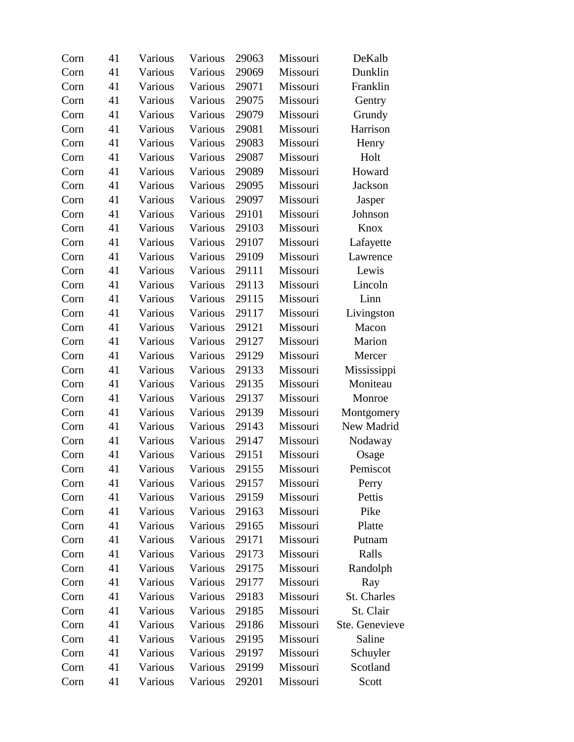| Corn | 41 | Various | Various | 29063 | Missouri | DeKalb         |
|------|----|---------|---------|-------|----------|----------------|
| Corn | 41 | Various | Various | 29069 | Missouri | Dunklin        |
| Corn | 41 | Various | Various | 29071 | Missouri | Franklin       |
| Corn | 41 | Various | Various | 29075 | Missouri | Gentry         |
| Corn | 41 | Various | Various | 29079 | Missouri | Grundy         |
| Corn | 41 | Various | Various | 29081 | Missouri | Harrison       |
| Corn | 41 | Various | Various | 29083 | Missouri | Henry          |
| Corn | 41 | Various | Various | 29087 | Missouri | Holt           |
| Corn | 41 | Various | Various | 29089 | Missouri | Howard         |
| Corn | 41 | Various | Various | 29095 | Missouri | Jackson        |
| Corn | 41 | Various | Various | 29097 | Missouri | Jasper         |
| Corn | 41 | Various | Various | 29101 | Missouri | Johnson        |
| Corn | 41 | Various | Various | 29103 | Missouri | Knox           |
| Corn | 41 | Various | Various | 29107 | Missouri | Lafayette      |
| Corn | 41 | Various | Various | 29109 | Missouri | Lawrence       |
| Corn | 41 | Various | Various | 29111 | Missouri | Lewis          |
| Corn | 41 | Various | Various | 29113 | Missouri | Lincoln        |
| Corn | 41 | Various | Various | 29115 | Missouri | Linn           |
| Corn | 41 | Various | Various | 29117 | Missouri | Livingston     |
| Corn | 41 | Various | Various | 29121 | Missouri | Macon          |
| Corn | 41 | Various | Various | 29127 | Missouri | Marion         |
| Corn | 41 | Various | Various | 29129 | Missouri | Mercer         |
| Corn | 41 | Various | Various | 29133 | Missouri | Mississippi    |
| Corn | 41 | Various | Various | 29135 | Missouri | Moniteau       |
| Corn | 41 | Various | Various | 29137 | Missouri | Monroe         |
| Corn | 41 | Various | Various | 29139 | Missouri | Montgomery     |
| Corn | 41 | Various | Various | 29143 | Missouri | New Madrid     |
| Corn | 41 | Various | Various | 29147 | Missouri | Nodaway        |
| Corn | 41 | Various | Various | 29151 | Missouri | Osage          |
| Corn | 41 | Various | Various | 29155 | Missouri | Pemiscot       |
| Corn | 41 | Various | Various | 29157 | Missouri | Perry          |
| Corn | 41 | Various | Various | 29159 | Missouri | Pettis         |
| Corn | 41 | Various | Various | 29163 | Missouri | Pike           |
| Corn | 41 | Various | Various | 29165 | Missouri | Platte         |
| Corn | 41 | Various | Various | 29171 | Missouri | Putnam         |
| Corn | 41 | Various | Various | 29173 | Missouri | Ralls          |
| Corn | 41 | Various | Various | 29175 | Missouri | Randolph       |
| Corn | 41 | Various | Various | 29177 | Missouri | Ray            |
| Corn | 41 | Various | Various | 29183 | Missouri | St. Charles    |
| Corn | 41 | Various | Various | 29185 | Missouri | St. Clair      |
| Corn | 41 | Various | Various | 29186 | Missouri | Ste. Genevieve |
| Corn | 41 | Various | Various | 29195 | Missouri | Saline         |
| Corn | 41 | Various | Various | 29197 | Missouri | Schuyler       |
| Corn | 41 | Various | Various | 29199 | Missouri | Scotland       |
| Corn | 41 | Various | Various | 29201 | Missouri | Scott          |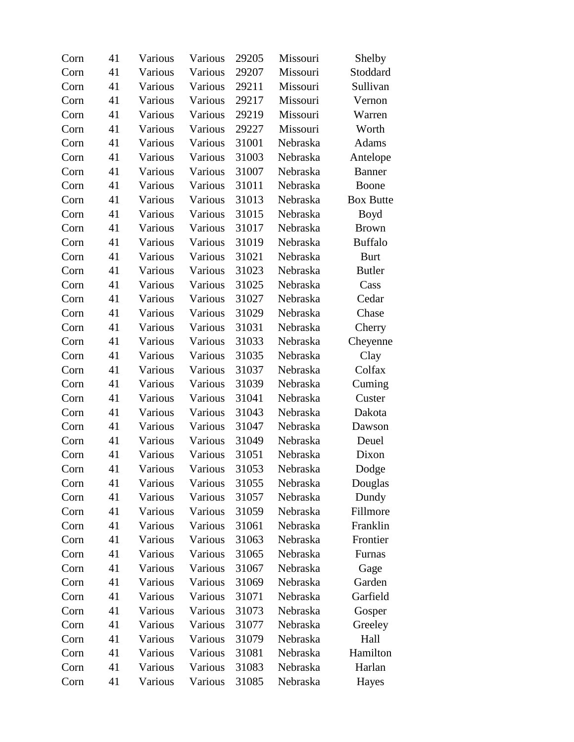| Corn | 41 | Various | Various | 29205 | Missouri | Shelby           |
|------|----|---------|---------|-------|----------|------------------|
| Corn | 41 | Various | Various | 29207 | Missouri | Stoddard         |
| Corn | 41 | Various | Various | 29211 | Missouri | Sullivan         |
| Corn | 41 | Various | Various | 29217 | Missouri | Vernon           |
| Corn | 41 | Various | Various | 29219 | Missouri | Warren           |
| Corn | 41 | Various | Various | 29227 | Missouri | Worth            |
| Corn | 41 | Various | Various | 31001 | Nebraska | Adams            |
| Corn | 41 | Various | Various | 31003 | Nebraska | Antelope         |
| Corn | 41 | Various | Various | 31007 | Nebraska | <b>Banner</b>    |
| Corn | 41 | Various | Various | 31011 | Nebraska | Boone            |
| Corn | 41 | Various | Various | 31013 | Nebraska | <b>Box Butte</b> |
| Corn | 41 | Various | Various | 31015 | Nebraska | Boyd             |
| Corn | 41 | Various | Various | 31017 | Nebraska | <b>Brown</b>     |
| Corn | 41 | Various | Various | 31019 | Nebraska | <b>Buffalo</b>   |
| Corn | 41 | Various | Various | 31021 | Nebraska | <b>Burt</b>      |
| Corn | 41 | Various | Various | 31023 | Nebraska | <b>Butler</b>    |
| Corn | 41 | Various | Various | 31025 | Nebraska | Cass             |
| Corn | 41 | Various | Various | 31027 | Nebraska | Cedar            |
| Corn | 41 | Various | Various | 31029 | Nebraska | Chase            |
| Corn | 41 | Various | Various | 31031 | Nebraska | Cherry           |
| Corn | 41 | Various | Various | 31033 | Nebraska | Cheyenne         |
| Corn | 41 | Various | Various | 31035 | Nebraska | Clay             |
| Corn | 41 | Various | Various | 31037 | Nebraska | Colfax           |
| Corn | 41 | Various | Various | 31039 | Nebraska | Cuming           |
| Corn | 41 | Various | Various | 31041 | Nebraska | Custer           |
| Corn | 41 | Various | Various | 31043 | Nebraska | Dakota           |
| Corn | 41 | Various | Various | 31047 | Nebraska | Dawson           |
| Corn | 41 | Various | Various | 31049 | Nebraska | Deuel            |
| Corn | 41 | Various | Various | 31051 | Nebraska | Dixon            |
| Corn | 41 | Various | Various | 31053 | Nebraska | Dodge            |
| Corn | 41 | Various | Various | 31055 | Nebraska | Douglas          |
| Corn | 41 | Various | Various | 31057 | Nebraska | Dundy            |
| Corn | 41 | Various | Various | 31059 | Nebraska | Fillmore         |
| Corn | 41 | Various | Various | 31061 | Nebraska | Franklin         |
| Corn | 41 | Various | Various | 31063 | Nebraska | Frontier         |
| Corn | 41 | Various | Various | 31065 | Nebraska | Furnas           |
| Corn | 41 | Various | Various | 31067 | Nebraska | Gage             |
| Corn | 41 | Various | Various | 31069 | Nebraska | Garden           |
| Corn | 41 | Various | Various | 31071 | Nebraska | Garfield         |
| Corn | 41 | Various | Various | 31073 | Nebraska | Gosper           |
| Corn | 41 | Various | Various | 31077 | Nebraska | Greeley          |
| Corn | 41 | Various | Various | 31079 | Nebraska | Hall             |
| Corn | 41 | Various | Various | 31081 | Nebraska | Hamilton         |
| Corn | 41 | Various | Various | 31083 | Nebraska | Harlan           |
| Corn | 41 | Various | Various | 31085 | Nebraska | Hayes            |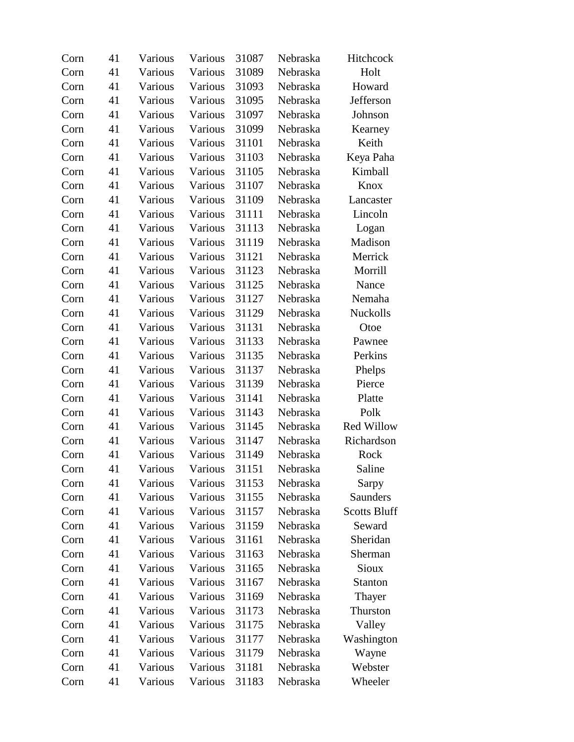| Corn | 41 | Various | Various | 31087 | Nebraska | Hitchcock           |
|------|----|---------|---------|-------|----------|---------------------|
| Corn | 41 | Various | Various | 31089 | Nebraska | Holt                |
| Corn | 41 | Various | Various | 31093 | Nebraska | Howard              |
| Corn | 41 | Various | Various | 31095 | Nebraska | Jefferson           |
| Corn | 41 | Various | Various | 31097 | Nebraska | Johnson             |
| Corn | 41 | Various | Various | 31099 | Nebraska | Kearney             |
| Corn | 41 | Various | Various | 31101 | Nebraska | Keith               |
| Corn | 41 | Various | Various | 31103 | Nebraska | Keya Paha           |
| Corn | 41 | Various | Various | 31105 | Nebraska | Kimball             |
| Corn | 41 | Various | Various | 31107 | Nebraska | Knox                |
| Corn | 41 | Various | Various | 31109 | Nebraska | Lancaster           |
| Corn | 41 | Various | Various | 31111 | Nebraska | Lincoln             |
| Corn | 41 | Various | Various | 31113 | Nebraska | Logan               |
| Corn | 41 | Various | Various | 31119 | Nebraska | Madison             |
| Corn | 41 | Various | Various | 31121 | Nebraska | Merrick             |
| Corn | 41 | Various | Various | 31123 | Nebraska | Morrill             |
| Corn | 41 | Various | Various | 31125 | Nebraska | Nance               |
| Corn | 41 | Various | Various | 31127 | Nebraska | Nemaha              |
| Corn | 41 | Various | Various | 31129 | Nebraska | Nuckolls            |
| Corn | 41 | Various | Various | 31131 | Nebraska | Otoe                |
| Corn | 41 | Various | Various | 31133 | Nebraska | Pawnee              |
| Corn | 41 | Various | Various | 31135 | Nebraska | Perkins             |
| Corn | 41 | Various | Various | 31137 | Nebraska | Phelps              |
| Corn | 41 | Various | Various | 31139 | Nebraska | Pierce              |
| Corn | 41 | Various | Various | 31141 | Nebraska | Platte              |
| Corn | 41 | Various | Various | 31143 | Nebraska | Polk                |
| Corn | 41 | Various | Various | 31145 | Nebraska | Red Willow          |
| Corn | 41 | Various | Various | 31147 | Nebraska | Richardson          |
| Corn | 41 | Various | Various | 31149 | Nebraska | Rock                |
| Corn | 41 | Various | Various | 31151 | Nebraska | Saline              |
| Corn | 41 | Various | Various | 31153 | Nebraska | Sarpy               |
| Corn | 41 | Various | Various | 31155 | Nebraska | <b>Saunders</b>     |
| Corn | 41 | Various | Various | 31157 | Nebraska | <b>Scotts Bluff</b> |
| Corn | 41 | Various | Various | 31159 | Nebraska | Seward              |
| Corn | 41 | Various | Various | 31161 | Nebraska | Sheridan            |
| Corn | 41 | Various | Various | 31163 | Nebraska | Sherman             |
| Corn | 41 | Various | Various | 31165 | Nebraska | Sioux               |
| Corn | 41 | Various | Various | 31167 | Nebraska | <b>Stanton</b>      |
| Corn | 41 | Various | Various | 31169 | Nebraska | Thayer              |
| Corn | 41 | Various | Various | 31173 | Nebraska | Thurston            |
| Corn | 41 | Various | Various | 31175 | Nebraska | Valley              |
| Corn | 41 | Various | Various | 31177 | Nebraska | Washington          |
| Corn | 41 | Various | Various | 31179 | Nebraska | Wayne               |
| Corn | 41 | Various | Various | 31181 | Nebraska | Webster             |
| Corn | 41 | Various | Various | 31183 | Nebraska | Wheeler             |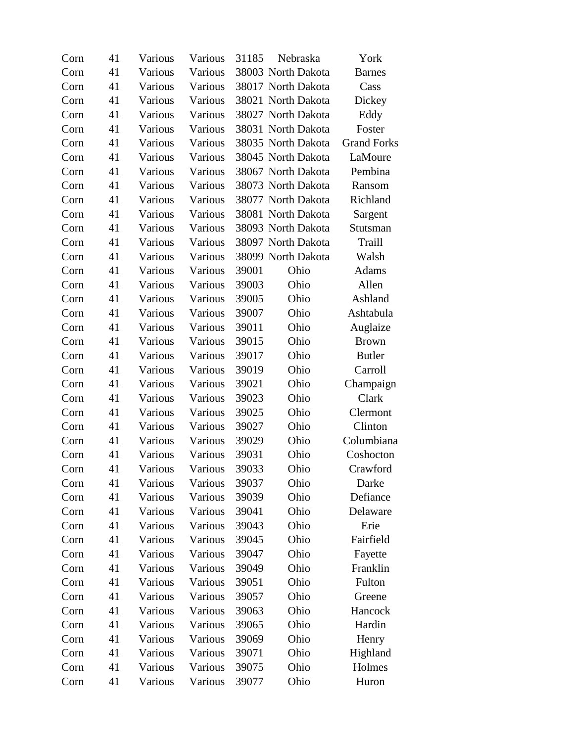| Corn | 41 | Various | Various | 31185 | Nebraska           | York               |
|------|----|---------|---------|-------|--------------------|--------------------|
| Corn | 41 | Various | Various |       | 38003 North Dakota | <b>Barnes</b>      |
| Corn | 41 | Various | Various |       | 38017 North Dakota | Cass               |
| Corn | 41 | Various | Various |       | 38021 North Dakota | Dickey             |
| Corn | 41 | Various | Various |       | 38027 North Dakota | Eddy               |
| Corn | 41 | Various | Various |       | 38031 North Dakota | Foster             |
| Corn | 41 | Various | Various |       | 38035 North Dakota | <b>Grand Forks</b> |
| Corn | 41 | Various | Various |       | 38045 North Dakota | LaMoure            |
| Corn | 41 | Various | Various |       | 38067 North Dakota | Pembina            |
| Corn | 41 | Various | Various |       | 38073 North Dakota | Ransom             |
| Corn | 41 | Various | Various |       | 38077 North Dakota | Richland           |
| Corn | 41 | Various | Various |       | 38081 North Dakota | Sargent            |
| Corn | 41 | Various | Various |       | 38093 North Dakota | Stutsman           |
| Corn | 41 | Various | Various |       | 38097 North Dakota | Traill             |
| Corn | 41 | Various | Various |       | 38099 North Dakota | Walsh              |
| Corn | 41 | Various | Various | 39001 | Ohio               | Adams              |
| Corn | 41 | Various | Various | 39003 | Ohio               | Allen              |
| Corn | 41 | Various | Various | 39005 | Ohio               | Ashland            |
| Corn | 41 | Various | Various | 39007 | Ohio               | Ashtabula          |
| Corn | 41 | Various | Various | 39011 | Ohio               | Auglaize           |
| Corn | 41 | Various | Various | 39015 | Ohio               | <b>Brown</b>       |
| Corn | 41 | Various | Various | 39017 | Ohio               | <b>Butler</b>      |
| Corn | 41 | Various | Various | 39019 | Ohio               | Carroll            |
| Corn | 41 | Various | Various | 39021 | Ohio               | Champaign          |
| Corn | 41 | Various | Various | 39023 | Ohio               | Clark              |
| Corn | 41 | Various | Various | 39025 | Ohio               | Clermont           |
| Corn | 41 | Various | Various | 39027 | Ohio               | Clinton            |
| Corn | 41 | Various | Various | 39029 | Ohio               | Columbiana         |
| Corn | 41 | Various | Various | 39031 | Ohio               | Coshocton          |
| Corn | 41 | Various | Various | 39033 | Ohio               | Crawford           |
| Corn | 41 | Various | Various | 39037 | Ohio               | Darke              |
| Corn | 41 | Various | Various | 39039 | Ohio               | Defiance           |
| Corn | 41 | Various | Various | 39041 | Ohio               | Delaware           |
| Corn | 41 | Various | Various | 39043 | Ohio               | Erie               |
| Corn | 41 | Various | Various | 39045 | Ohio               | Fairfield          |
| Corn | 41 | Various | Various | 39047 | Ohio               | Fayette            |
| Corn | 41 | Various | Various | 39049 | Ohio               | Franklin           |
| Corn | 41 | Various | Various | 39051 | Ohio               | Fulton             |
| Corn | 41 | Various | Various | 39057 | Ohio               | Greene             |
| Corn | 41 | Various | Various | 39063 | Ohio               | Hancock            |
| Corn | 41 | Various | Various | 39065 | Ohio               | Hardin             |
| Corn | 41 | Various | Various | 39069 | Ohio               | Henry              |
| Corn | 41 | Various | Various | 39071 | Ohio               | Highland           |
| Corn | 41 | Various | Various | 39075 | Ohio               | Holmes             |
| Corn | 41 | Various | Various | 39077 | Ohio               | Huron              |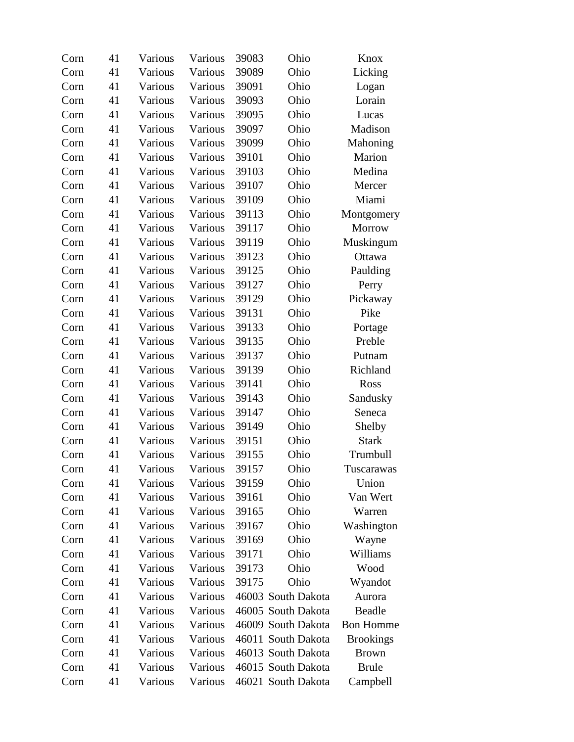| Corn | 41 | Various | Various | 39083 | Ohio               | Knox             |
|------|----|---------|---------|-------|--------------------|------------------|
| Corn | 41 | Various | Various | 39089 | Ohio               | Licking          |
| Corn | 41 | Various | Various | 39091 | Ohio               | Logan            |
| Corn | 41 | Various | Various | 39093 | Ohio               | Lorain           |
| Corn | 41 | Various | Various | 39095 | Ohio               | Lucas            |
| Corn | 41 | Various | Various | 39097 | Ohio               | Madison          |
| Corn | 41 | Various | Various | 39099 | Ohio               | Mahoning         |
| Corn | 41 | Various | Various | 39101 | Ohio               | Marion           |
| Corn | 41 | Various | Various | 39103 | Ohio               | Medina           |
| Corn | 41 | Various | Various | 39107 | Ohio               | Mercer           |
| Corn | 41 | Various | Various | 39109 | Ohio               | Miami            |
| Corn | 41 | Various | Various | 39113 | Ohio               | Montgomery       |
| Corn | 41 | Various | Various | 39117 | Ohio               | Morrow           |
| Corn | 41 | Various | Various | 39119 | Ohio               | Muskingum        |
| Corn | 41 | Various | Various | 39123 | Ohio               | Ottawa           |
| Corn | 41 | Various | Various | 39125 | Ohio               | Paulding         |
| Corn | 41 | Various | Various | 39127 | Ohio               | Perry            |
| Corn | 41 | Various | Various | 39129 | Ohio               | Pickaway         |
| Corn | 41 | Various | Various | 39131 | Ohio               | Pike             |
| Corn | 41 | Various | Various | 39133 | Ohio               | Portage          |
| Corn | 41 | Various | Various | 39135 | Ohio               | Preble           |
| Corn | 41 | Various | Various | 39137 | Ohio               | Putnam           |
| Corn | 41 | Various | Various | 39139 | Ohio               | Richland         |
| Corn | 41 | Various | Various | 39141 | Ohio               | Ross             |
| Corn | 41 | Various | Various | 39143 | Ohio               | Sandusky         |
| Corn | 41 | Various | Various | 39147 | Ohio               | Seneca           |
| Corn | 41 | Various | Various | 39149 | Ohio               | Shelby           |
| Corn | 41 | Various | Various | 39151 | Ohio               | <b>Stark</b>     |
| Corn | 41 | Various | Various | 39155 | Ohio               | Trumbull         |
| Corn | 41 | Various | Various | 39157 | Ohio               | Tuscarawas       |
| Corn | 41 | Various | Various | 39159 | Ohio               | Union            |
| Corn | 41 | Various | Various | 39161 | Ohio               | Van Wert         |
| Corn | 41 | Various | Various | 39165 | Ohio               | Warren           |
| Corn | 41 | Various | Various | 39167 | Ohio               | Washington       |
| Corn | 41 | Various | Various | 39169 | Ohio               | Wayne            |
| Corn | 41 | Various | Various | 39171 | Ohio               | Williams         |
| Corn | 41 | Various | Various | 39173 | Ohio               | Wood             |
| Corn | 41 | Various | Various | 39175 | Ohio               | Wyandot          |
| Corn | 41 | Various | Various |       | 46003 South Dakota | Aurora           |
| Corn | 41 | Various | Various |       | 46005 South Dakota | <b>Beadle</b>    |
| Corn | 41 | Various | Various |       | 46009 South Dakota | <b>Bon Homme</b> |
| Corn | 41 | Various | Various |       | 46011 South Dakota | <b>Brookings</b> |
| Corn | 41 | Various | Various |       | 46013 South Dakota | <b>Brown</b>     |
| Corn | 41 | Various | Various |       | 46015 South Dakota | <b>Brule</b>     |
| Corn | 41 | Various | Various |       | 46021 South Dakota | Campbell         |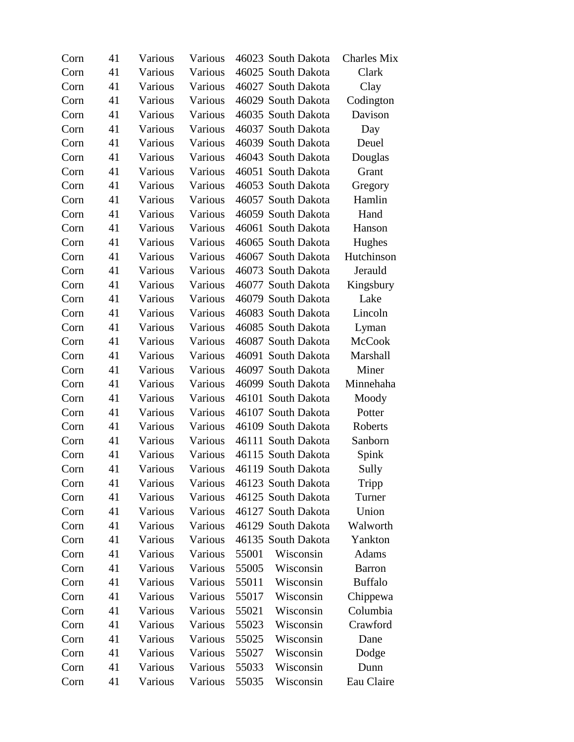| Corn | 41 | Various | Various |       | 46023 South Dakota | <b>Charles Mix</b> |
|------|----|---------|---------|-------|--------------------|--------------------|
| Corn | 41 | Various | Various |       | 46025 South Dakota | Clark              |
| Corn | 41 | Various | Various |       | 46027 South Dakota | Clay               |
| Corn | 41 | Various | Various |       | 46029 South Dakota | Codington          |
| Corn | 41 | Various | Various |       | 46035 South Dakota | Davison            |
| Corn | 41 | Various | Various |       | 46037 South Dakota | Day                |
| Corn | 41 | Various | Various |       | 46039 South Dakota | Deuel              |
| Corn | 41 | Various | Various |       | 46043 South Dakota | Douglas            |
| Corn | 41 | Various | Various |       | 46051 South Dakota | Grant              |
| Corn | 41 | Various | Various |       | 46053 South Dakota | Gregory            |
| Corn | 41 | Various | Various |       | 46057 South Dakota | Hamlin             |
| Corn | 41 | Various | Various |       | 46059 South Dakota | Hand               |
| Corn | 41 | Various | Various |       | 46061 South Dakota | Hanson             |
| Corn | 41 | Various | Various |       | 46065 South Dakota | Hughes             |
| Corn | 41 | Various | Various |       | 46067 South Dakota | Hutchinson         |
| Corn | 41 | Various | Various |       | 46073 South Dakota | Jerauld            |
| Corn | 41 | Various | Various |       | 46077 South Dakota | Kingsbury          |
| Corn | 41 | Various | Various |       | 46079 South Dakota | Lake               |
| Corn | 41 | Various | Various |       | 46083 South Dakota | Lincoln            |
| Corn | 41 | Various | Various |       | 46085 South Dakota | Lyman              |
| Corn | 41 | Various | Various |       | 46087 South Dakota | <b>McCook</b>      |
| Corn | 41 | Various | Various |       | 46091 South Dakota | Marshall           |
| Corn | 41 | Various | Various |       | 46097 South Dakota | Miner              |
| Corn | 41 | Various | Various |       | 46099 South Dakota | Minnehaha          |
| Corn | 41 | Various | Various |       | 46101 South Dakota | Moody              |
| Corn | 41 | Various | Various |       | 46107 South Dakota | Potter             |
| Corn | 41 | Various | Various |       | 46109 South Dakota | Roberts            |
| Corn | 41 | Various | Various |       | 46111 South Dakota | Sanborn            |
| Corn | 41 | Various | Various |       | 46115 South Dakota | Spink              |
| Corn | 41 | Various | Various |       | 46119 South Dakota | Sully              |
| Corn | 41 | Various | Various |       | 46123 South Dakota | Tripp              |
| Corn | 41 | Various | Various |       | 46125 South Dakota | Turner             |
| Corn | 41 | Various | Various |       | 46127 South Dakota | Union              |
| Corn | 41 | Various | Various |       | 46129 South Dakota | Walworth           |
| Corn | 41 | Various | Various |       | 46135 South Dakota | Yankton            |
| Corn | 41 | Various | Various | 55001 | Wisconsin          | Adams              |
| Corn | 41 | Various | Various | 55005 | Wisconsin          | <b>Barron</b>      |
| Corn | 41 | Various | Various | 55011 | Wisconsin          | <b>Buffalo</b>     |
| Corn | 41 | Various | Various | 55017 | Wisconsin          | Chippewa           |
| Corn | 41 | Various | Various | 55021 | Wisconsin          | Columbia           |
| Corn | 41 | Various | Various | 55023 | Wisconsin          | Crawford           |
| Corn | 41 | Various | Various | 55025 | Wisconsin          | Dane               |
| Corn | 41 | Various | Various | 55027 | Wisconsin          | Dodge              |
| Corn | 41 | Various | Various | 55033 | Wisconsin          | Dunn               |
| Corn | 41 | Various | Various | 55035 | Wisconsin          | Eau Claire         |